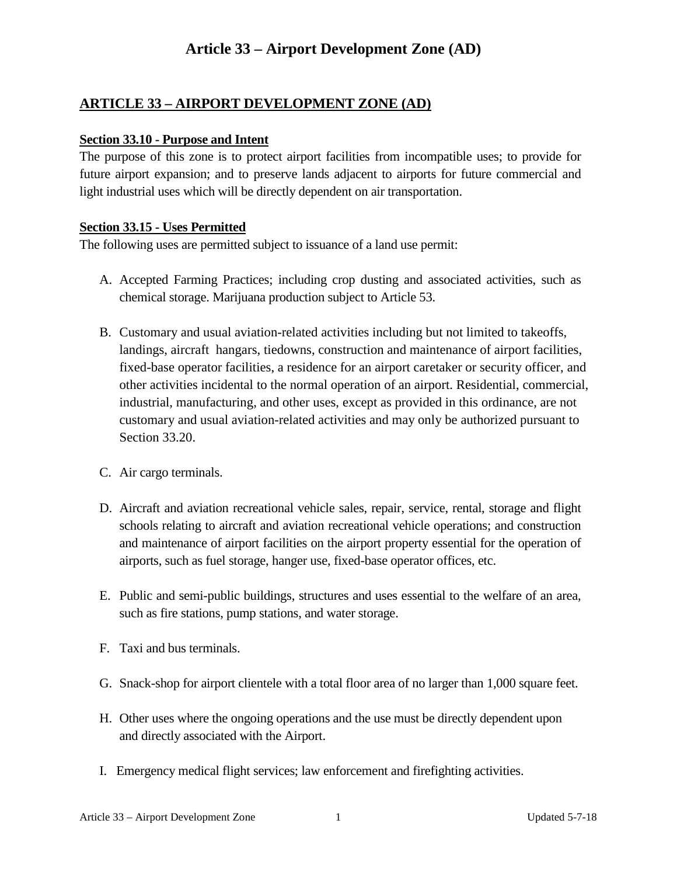## **Article 33 – Airport Development Zone (AD)**

### **ARTICLE 33 – AIRPORT DEVELOPMENT ZONE (AD)**

#### **Section 33.10 - Purpose and Intent**

The purpose of this zone is to protect airport facilities from incompatible uses; to provide for future airport expansion; and to preserve lands adjacent to airports for future commercial and light industrial uses which will be directly dependent on air transportation.

#### **Section 33.15 - Uses Permitted**

The following uses are permitted subject to issuance of a land use permit:

- A. Accepted Farming Practices; including crop dusting and associated activities, such as chemical storage. Marijuana production subject to Article 53.
- B. Customary and usual aviation-related activities including but not limited to takeoffs, landings, aircraft hangars, tiedowns, construction and maintenance of airport facilities, fixed-base operator facilities, a residence for an airport caretaker or security officer, and other activities incidental to the normal operation of an airport. Residential, commercial, industrial, manufacturing, and other uses, except as provided in this ordinance, are not customary and usual aviation-related activities and may only be authorized pursuant to Section 33.20.
- C. Air cargo terminals.
- D. Aircraft and aviation recreational vehicle sales, repair, service, rental, storage and flight schools relating to aircraft and aviation recreational vehicle operations; and construction and maintenance of airport facilities on the airport property essential for the operation of airports, such as fuel storage, hanger use, fixed-base operator offices, etc.
- E. Public and semi-public buildings, structures and uses essential to the welfare of an area, such as fire stations, pump stations, and water storage.
- F. Taxi and bus terminals.
- G. Snack-shop for airport clientele with a total floor area of no larger than 1,000 square feet.
- H. Other uses where the ongoing operations and the use must be directly dependent upon and directly associated with the Airport.
- I. Emergency medical flight services; law enforcement and firefighting activities.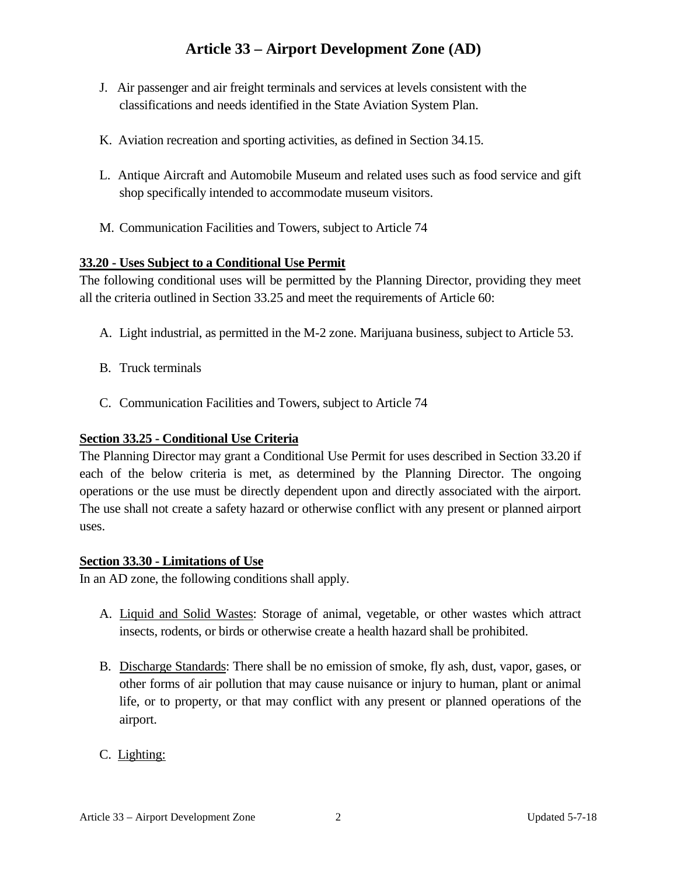# **Article 33 – Airport Development Zone (AD)**

- J. Air passenger and air freight terminals and services at levels consistent with the classifications and needs identified in the State Aviation System Plan.
- K. Aviation recreation and sporting activities, as defined in Section 34.15.
- L. Antique Aircraft and Automobile Museum and related uses such as food service and gift shop specifically intended to accommodate museum visitors.
- M. Communication Facilities and Towers, subject to Article 74

#### **33.20 - Uses Subject to a Conditional Use Permit**

The following conditional uses will be permitted by the Planning Director, providing they meet all the criteria outlined in Section 33.25 and meet the requirements of Article 60:

- A. Light industrial, as permitted in the M-2 zone. Marijuana business, subject to Article 53.
- B. Truck terminals
- C. Communication Facilities and Towers, subject to Article 74

### **Section 33.25 - Conditional Use Criteria**

The Planning Director may grant a Conditional Use Permit for uses described in Section 33.20 if each of the below criteria is met, as determined by the Planning Director. The ongoing operations or the use must be directly dependent upon and directly associated with the airport. The use shall not create a safety hazard or otherwise conflict with any present or planned airport uses.

#### **Section 33.30 - Limitations of Use**

In an AD zone, the following conditions shall apply.

- A. Liquid and Solid Wastes: Storage of animal, vegetable, or other wastes which attract insects, rodents, or birds or otherwise create a health hazard shall be prohibited.
- B. Discharge Standards: There shall be no emission of smoke, fly ash, dust, vapor, gases, or other forms of air pollution that may cause nuisance or injury to human, plant or animal life, or to property, or that may conflict with any present or planned operations of the airport.
- C. Lighting: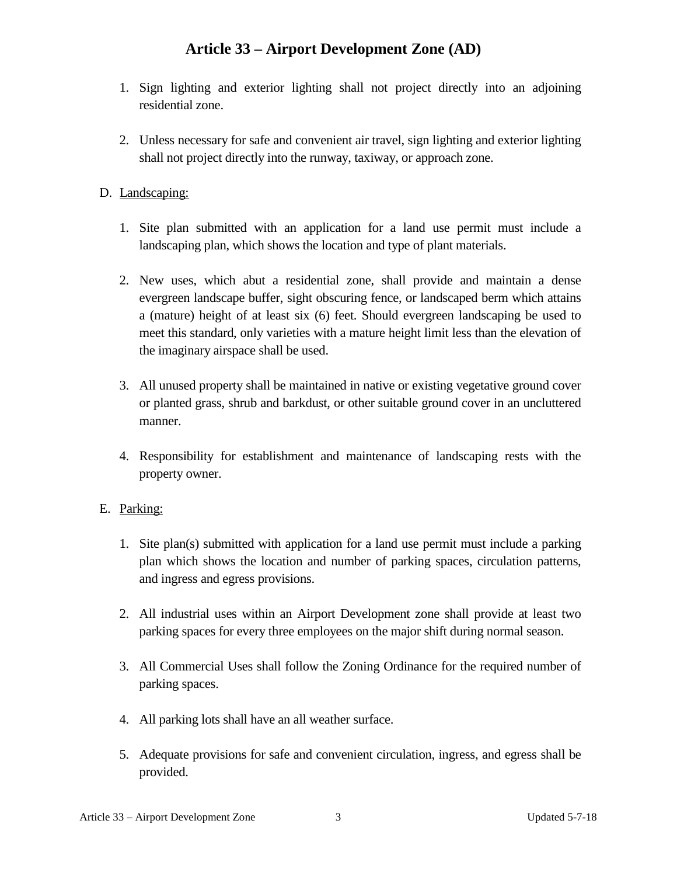## **Article 33 – Airport Development Zone (AD)**

- 1. Sign lighting and exterior lighting shall not project directly into an adjoining residential zone.
- 2. Unless necessary for safe and convenient air travel, sign lighting and exterior lighting shall not project directly into the runway, taxiway, or approach zone.

### D. Landscaping:

- 1. Site plan submitted with an application for a land use permit must include a landscaping plan, which shows the location and type of plant materials.
- 2. New uses, which abut a residential zone, shall provide and maintain a dense evergreen landscape buffer, sight obscuring fence, or landscaped berm which attains a (mature) height of at least six (6) feet. Should evergreen landscaping be used to meet this standard, only varieties with a mature height limit less than the elevation of the imaginary airspace shall be used.
- 3. All unused property shall be maintained in native or existing vegetative ground cover or planted grass, shrub and barkdust, or other suitable ground cover in an uncluttered manner.
- 4. Responsibility for establishment and maintenance of landscaping rests with the property owner.

#### E. Parking:

- 1. Site plan(s) submitted with application for a land use permit must include a parking plan which shows the location and number of parking spaces, circulation patterns, and ingress and egress provisions.
- 2. All industrial uses within an Airport Development zone shall provide at least two parking spaces for every three employees on the major shift during normal season.
- 3. All Commercial Uses shall follow the Zoning Ordinance for the required number of parking spaces.
- 4. All parking lots shall have an all weather surface.
- 5. Adequate provisions for safe and convenient circulation, ingress, and egress shall be provided.